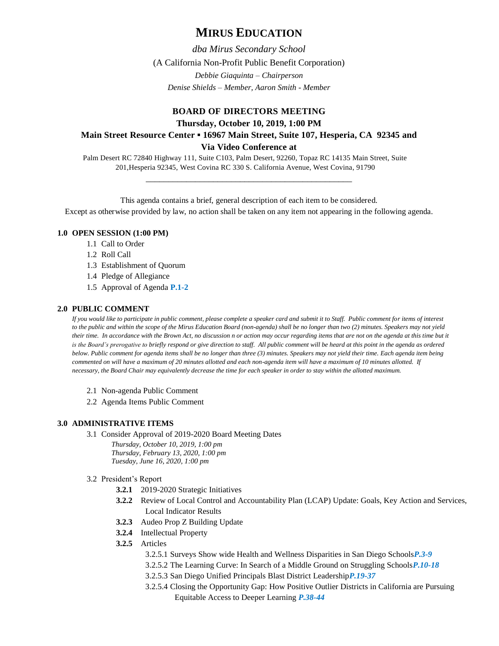# **MIRUS EDUCATION**

*dba Mirus Secondary School* (A California Non-Profit Public Benefit Corporation) *Debbie Giaquinta – Chairperson Denise Shields – Member, Aaron Smith - Member*

## **BOARD OF DIRECTORS MEETING Thursday, October 10, 2019, 1:00 PM Main Street Resource Center ▪ 16967 Main Street, Suite 107, Hesperia, CA 92345 and Via Video Conference at**

Palm Desert RC 72840 Highway 111, Suite C103, Palm Desert, 92260, Topaz RC 14135 Main Street, Suite 201,Hesperia 92345, West Covina RC 330 S. California Avenue, West Covina, 91790

This agenda contains a brief, general description of each item to be considered. Except as otherwise provided by law, no action shall be taken on any item not appearing in the following agenda.

\_\_\_\_\_\_\_\_\_\_\_\_\_\_\_\_\_\_\_\_\_\_\_\_\_\_\_\_\_\_\_\_\_\_\_\_\_\_\_\_\_\_\_\_\_\_

## **1.0 OPEN SESSION (1:00 PM)**

- 1.1 Call to Order
- 1.2 Roll Call
- 1.3 Establishment of Quorum
- 1.4 Pledge of Allegiance
- 1.5 Approval of Agenda **P.1-2**

## **2.0 PUBLIC COMMENT**

*If you would like to participate in public comment, please complete a speaker card and submit it to Staff. Public comment for items of interest to the public and within the scope of the Mirus Education Board (non-agenda) shall be no longer than two (2) minutes. Speakers may not yield their time. In accordance with the Brown Act, no discussion n or action may occur regarding items that are not on the agenda at this time but it is the Board's prerogative to briefly respond or give direction to staff. All public comment will be heard at this point in the agenda as ordered below. Public comment for agenda items shall be no longer than three (3) minutes. Speakers may not yield their time. Each agenda item being commented on will have a maximum of 20 minutes allotted and each non-agenda item will have a maximum of 10 minutes allotted. If necessary, the Board Chair may equivalently decrease the time for each speaker in order to stay within the allotted maximum.*

- 2.1 Non-agenda Public Comment
- 2.2 Agenda Items Public Comment

## **3.0 ADMINISTRATIVE ITEMS**

3.1 Consider Approval of 2019-2020 Board Meeting Dates

*Thursday, October 10, 2019, 1:00 pm Thursday, February 13, 2020, 1:00 pm Tuesday, June 16, 2020, 1:00 pm*

#### 3.2 President's Report

- **3.2.1** 2019-2020 Strategic Initiatives
- **3.2.2** Review of Local Control and Accountability Plan (LCAP) Update: Goals, Key Action and Services, Local Indicator Results
- **3.2.3** Audeo Prop Z Building Update
- **3.2.4** Intellectual Property
- **3.2.5** Articles
	- 3.2.5.1 Surveys Show wide Health and Wellness Disparities in San Diego Schools*P.3-9*
	- 3.2.5.2 The Learning Curve: In Search of a Middle Ground on Struggling Schools*P.10-18*
	- 3.2.5.3 San Diego Unified Principals Blast District Leadership*P.19-37*
	- 3.2.5.4 Closing the Opportunity Gap: How Positive Outlier Districts in California are Pursuing Equitable Access to Deeper Learning *P.38-44*